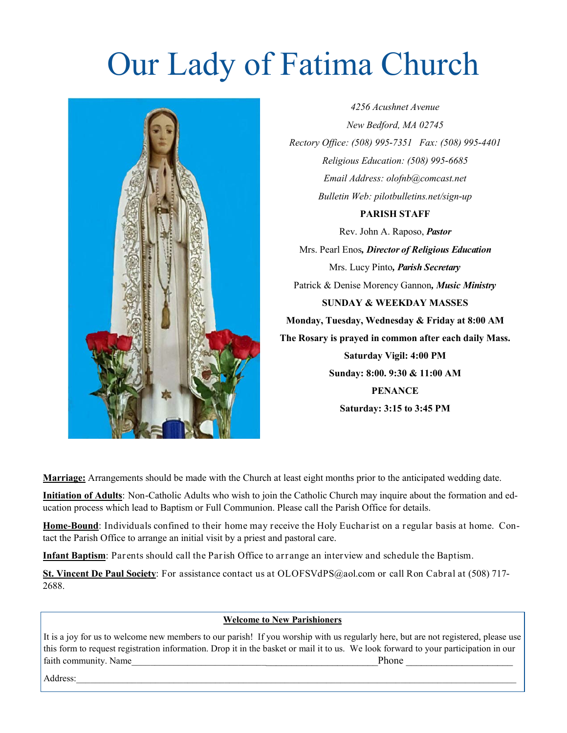# Our Lady of Fatima Church



*4256 Acushnet Avenue New Bedford, MA 02745 Rectory Office: (508) 995-7351 Fax: (508) 995-4401 Religious Education: (508) 995-6685 Email Address: olofnb@comcast.net Bulletin Web: pilotbulletins.net/sign-up*

#### **PARISH STAFF**

Rev. John A. Raposo, *Pastor* Mrs. Pearl Enos*, Director of Religious Education* Mrs. Lucy Pinto*, Parish Secretary* Patrick & Denise Morency Gannon*, Music Ministry* **SUNDAY & WEEKDAY MASSES Monday, Tuesday, Wednesday & Friday at 8:00 AM The Rosary is prayed in common after each daily Mass. Saturday Vigil: 4:00 PM Sunday: 8:00. 9:30 & 11:00 AM PENANCE Saturday: 3:15 to 3:45 PM**

**Marriage:** Arrangements should be made with the Church at least eight months prior to the anticipated wedding date.

**Initiation of Adults**: Non-Catholic Adults who wish to join the Catholic Church may inquire about the formation and education process which lead to Baptism or Full Communion. Please call the Parish Office for details.

**Home-Bound**: Individuals confined to their home may receive the Holy Eucharist on a regular basis at home. Contact the Parish Office to arrange an initial visit by a priest and pastoral care.

**Infant Baptism**: Parents should call the Parish Office to arrange an interview and schedule the Baptism.

**St. Vincent De Paul Society**: For assistance contact us at OLOFSVdPS@aol.com or call Ron Cabral at (508) 717- 2688.

#### **Welcome to New Parishioners**

It is a joy for us to welcome new members to our parish! If you worship with us regularly here, but are not registered, please use this form to request registration information. Drop it in the basket or mail it to us. We look forward to your participation in our faith community. Name  $\Box$ 

 $Address:$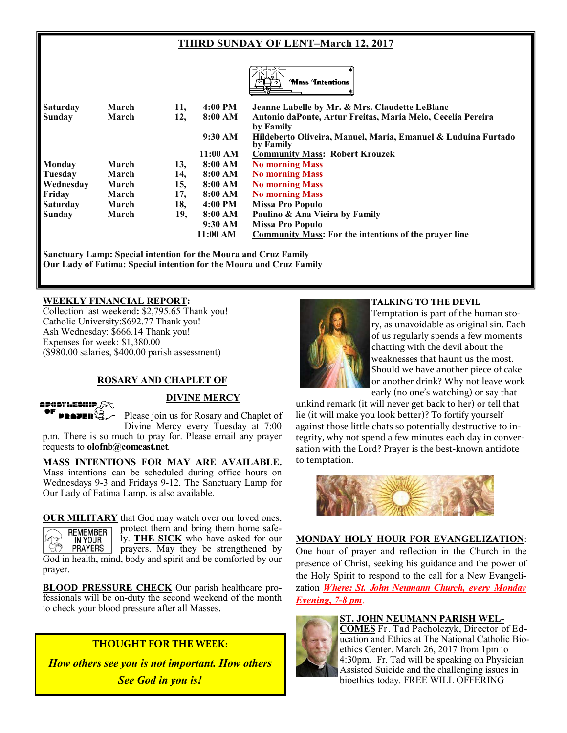# **THIRD SUNDAY OF LENT–March 12, 2017**



| Saturday        | March | 11, | 4:00 PM  | Jeanne Labelle by Mr. & Mrs. Claudette LeBlanc                             |
|-----------------|-------|-----|----------|----------------------------------------------------------------------------|
| <b>Sunday</b>   | March | 12, | 8:00 AM  | Antonio daPonte, Artur Freitas, Maria Melo, Cecelia Pereira<br>by Family   |
|                 |       |     | 9:30 AM  | Hildeberto Oliveira, Manuel, Maria, Emanuel & Luduina Furtado<br>by Family |
|                 |       |     | 11:00 AM | <b>Community Mass: Robert Krouzek</b>                                      |
| Monday          | March | 13, | 8:00 AM  | <b>No morning Mass</b>                                                     |
| Tuesday         | March | 14, | 8:00 AM  | <b>No morning Mass</b>                                                     |
| Wednesday       | March | 15, | 8:00 AM  | <b>No morning Mass</b>                                                     |
| Friday          | March | 17, | 8:00 AM  | <b>No morning Mass</b>                                                     |
| <b>Saturday</b> | March | 18, | 4:00 PM  | Missa Pro Populo                                                           |
| Sunday          | March | 19, | 8:00 AM  | Paulino & Ana Vieira by Family                                             |
|                 |       |     | 9:30 AM  | Missa Pro Populo                                                           |
|                 |       |     | 11:00 AM | <b>Community Mass:</b> For the intentions of the prayer line               |

**Sanctuary Lamp: Special intention for the Moura and Cruz Family Our Lady of Fatima: Special intention for the Moura and Cruz Family**

#### **WEEKLY FINANCIAL REPORT:**

Collection last weekend**:** \$2,795.65 Thank you! Catholic University:\$692.77 Thank you! Ash Wednesday: \$666.14 Thank you! Expenses for week: \$1,380.00 (\$980.00 salaries, \$400.00 parish assessment)

#### **ROSARY AND CHAPLET OF**



#### **DIVINE MERCY**

 $\sim$   $\approx$  41116. Please join us for Rosary and Chaplet of Divine Mercy every Tuesday at 7:00 p.m. There is so much to pray for. Please email any prayer requests to **olofnb@comcast.net**.

**MASS INTENTIONS FOR MAY ARE AVAILABLE.**  Mass intentions can be scheduled during office hours on Wednesdays 9-3 and Fridays 9-12. The Sanctuary Lamp for Our Lady of Fatima Lamp, is also available.

**OUR MILITARY** that God may watch over our loved ones, protect them and bring them home safe-**REMEMBER** ly. **THE SICK** who have asked for our IN YOUR **PRAYERS** prayers. May they be strengthened by God in health, mind, body and spirit and be comforted by our prayer.

**BLOOD PRESSURE CHECK** Our parish healthcare professionals will be on-duty the second weekend of the month to check your blood pressure after all Masses.

## **THOUGHT FOR THE WEEK:**

*How others see you is not important. How others See God in you is!*



#### **TALKING TO THE DEVIL**

Temptation is part of the human sto‐ ry, as unavoidable as original sin. Each of us regularly spends a few moments chatting with the devil about the weaknesses that haunt us the most. Should we have another piece of cake or another drink? Why not leave work early (no one's watching) or say that

unkind remark (it will never get back to her) or tell that lie (it will make you look better)? To fortify yourself against those little chats so potentially destructive to in‐ tegrity, why not spend a few minutes each day in conversation with the Lord? Prayer is the best-known antidote to temptation.



#### **MONDAY HOLY HOUR FOR EVANGELIZATION**: One hour of prayer and reflection in the Church in the presence of Christ, seeking his guidance and the power of the Holy Spirit to respond to the call for a New Evangelization *Where: St. John Neumann Church, every Monday Evening, 7-8 pm*.

#### **ST. JOHN NEUMANN PARISH WEL-**



**COMES** Fr. Tad Pacholczyk, Director of Education and Ethics at The National Catholic Bioethics Center. March 26, 2017 from 1pm to 4:30pm. Fr. Tad will be speaking on Physician Assisted Suicide and the challenging issues in bioethics today. FREE WILL OFFERING